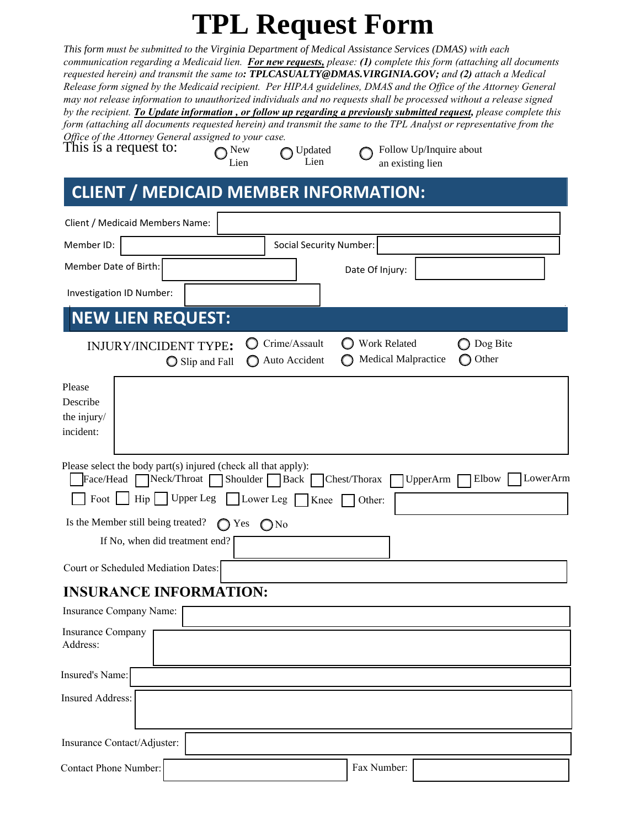## **TPL Request Form**

*This form must be submitted to the Virginia Department of Medical Assistance Services (DMAS) with each communication regarding a Medicaid lien. For new requests, please: (1) complete this form (attaching all documents requested herein) and transmit the same to: TPLCASUALTY@DMAS.VIRGINIA.GOV; and (2) attach a Medical Release form signed by the Medicaid recipient. Per HIPAA guidelines, DMAS and the Office of the Attorney General may not release information to unauthorized individuals and no requests shall be processed without a release signed by the recipient. To Update information , or follow up regarding a previously submitted request, please complete this form (attaching all documents requested herein) and transmit the same to the TPL Analyst or representative from the Office of the Attorney General assigned to your case.*<br>This is a request to:  $\bigcap_{k=1}^{\infty} N_k$ 

This is a request to:  $\bigcap_{N \in \mathbb{N}} N$  New  $\bigcap_{N \in \mathbb{N}}$  Updated

Lien Lien

Follow Up/Inquire about an existing lien

## **CLIENT / MEDICAID MEMBER INFORMATION:**

| Client / Medicaid Members Name:                                                                                                                                                                                                                  |  |  |
|--------------------------------------------------------------------------------------------------------------------------------------------------------------------------------------------------------------------------------------------------|--|--|
| Member ID:<br><b>Social Security Number:</b>                                                                                                                                                                                                     |  |  |
| Member Date of Birth:<br>Date Of Injury:                                                                                                                                                                                                         |  |  |
| Investigation ID Number:                                                                                                                                                                                                                         |  |  |
| <b>NEW LIEN REQUEST:</b>                                                                                                                                                                                                                         |  |  |
| Crime/Assault<br>Work Related<br>Dog Bite<br><b>INJURY/INCIDENT TYPE:</b><br>Medical Malpractice<br>Other<br>Auto Accident<br>Slip and Fall                                                                                                      |  |  |
| Please<br>Describe<br>the injury/<br>incident:                                                                                                                                                                                                   |  |  |
| Please select the body part(s) injured (check all that apply):<br>LowerArm<br>Neck/Throat<br>Elbow<br>Face/Head<br>Shoulder<br>Chest/Thorax<br>$\bigcap$ Back<br>UpperArm<br>$\overline{Hip}$ Upper Leg<br>Foot  <br>Lower Leg<br>Knee<br>Other: |  |  |
| Is the Member still being treated?<br>◯ Yes<br>$\bigcirc$ No<br>If No, when did treatment end?                                                                                                                                                   |  |  |
| Court or Scheduled Mediation Dates:                                                                                                                                                                                                              |  |  |
| <b>INSURANCE INFORMATION:</b>                                                                                                                                                                                                                    |  |  |
| Insurance Company Name:                                                                                                                                                                                                                          |  |  |
| Insurance Company<br>Address:                                                                                                                                                                                                                    |  |  |
| Insured's Name:                                                                                                                                                                                                                                  |  |  |
| Insured Address:                                                                                                                                                                                                                                 |  |  |
| Insurance Contact/Adjuster:                                                                                                                                                                                                                      |  |  |
| Fax Number:<br><b>Contact Phone Number:</b>                                                                                                                                                                                                      |  |  |